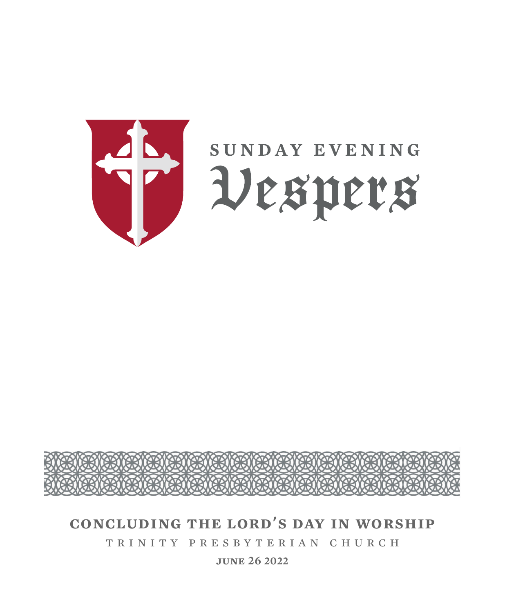



# **concluding the lord's day in worship**

trinity presbyterian church

**june 26 2022**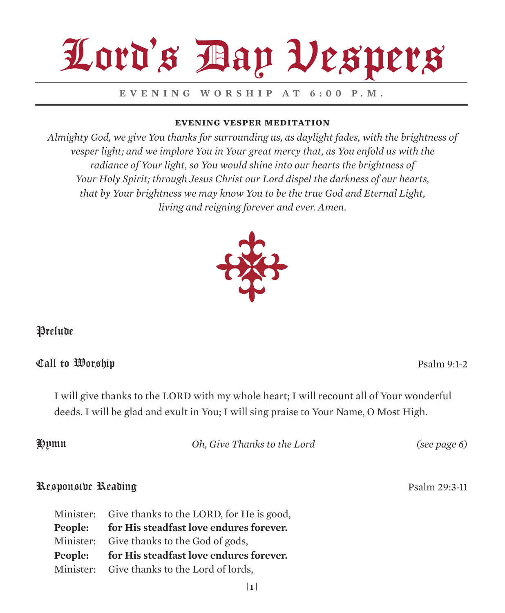# Lord's Map Vespers

**EVENING WORSHIP AT 6:00 P.M.** 

### **evening vesper Meditation**

*Almighty God, we give You thanks for surrounding us, as daylight fades, with the brightness of vesper light; and we implore You in Your great mercy that, as You enfold us with the radiance of Your light, so You would shine into our hearts the brightness of Your Holy Spirit; through Jesus Christ our Lord dispel the darkness of our hearts, that by Your brightness we may know You to be the true God and Eternal Light, living and reigning forever and ever. Amen.*



# Prelude

# Call to Worship Psalm 9:1-2

I will give thanks to the LORD with my whole heart; I will recount all of Your wonderful deeds. I will be glad and exult in You; I will sing praise to Your Name, O Most High.

Hymn *Oh, Give Thanks to the Lord (see page 6)*

# Responsive Reading Psalm 29:3-11

| Minister: Give thanks to the LORD, for He is good, |
|----------------------------------------------------|
| People: for His steadfast love endures forever.    |
| Minister: Give thanks to the God of gods,          |
| People: for His steadfast love endures forever.    |
| Minister: Give thanks to the Lord of lords,        |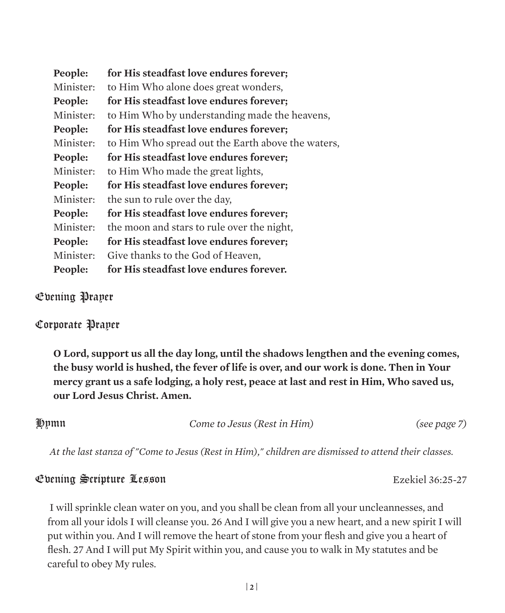| People:   | for His steadfast love endures forever;           |
|-----------|---------------------------------------------------|
| Minister: | to Him Who alone does great wonders,              |
| People:   | for His steadfast love endures forever;           |
| Minister: | to Him Who by understanding made the heavens,     |
| People:   | for His steadfast love endures forever;           |
| Minister: | to Him Who spread out the Earth above the waters, |
| People:   | for His steadfast love endures forever;           |
| Minister: | to Him Who made the great lights,                 |
| People:   | for His steadfast love endures forever;           |
| Minister: | the sun to rule over the day,                     |
| People:   | for His steadfast love endures forever;           |
| Minister: | the moon and stars to rule over the night,        |
| People:   | for His steadfast love endures forever;           |
| Minister: | Give thanks to the God of Heaven,                 |
| People:   | for His steadfast love endures forever.           |
|           |                                                   |

# Evening Prayer

### Corporate Prayer

**O Lord, support us all the day long, until the shadows lengthen and the evening comes, the busy world is hushed, the fever of life is over, and our work is done. Then in Your mercy grant us a safe lodging, a holy rest, peace at last and rest in Him, Who saved us, our Lord Jesus Christ. Amen.**

Hymn *Come to Jesus (Rest in Him) (see page 7)*

*At the last stanza of "Come to Jesus (Rest in Him)," children are dismissed to attend their classes.*

### Evening Scripture Lesson Ezekiel 36:25-27

 I will sprinkle clean water on you, and you shall be clean from all your uncleannesses, and from all your idols I will cleanse you. 26 And I will give you a new heart, and a new spirit I will put within you. And I will remove the heart of stone from your flesh and give you a heart of flesh. 27 And I will put My Spirit within you, and cause you to walk in My statutes and be careful to obey My rules.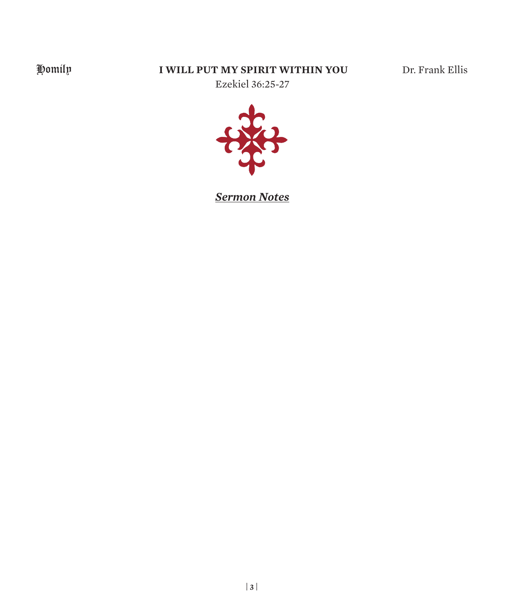# Homily **I WILL PUT MY SPIRIT WITHIN YOU** Dr. Frank Ellis

Ezekiel 36:25-27



*Sermon Notes*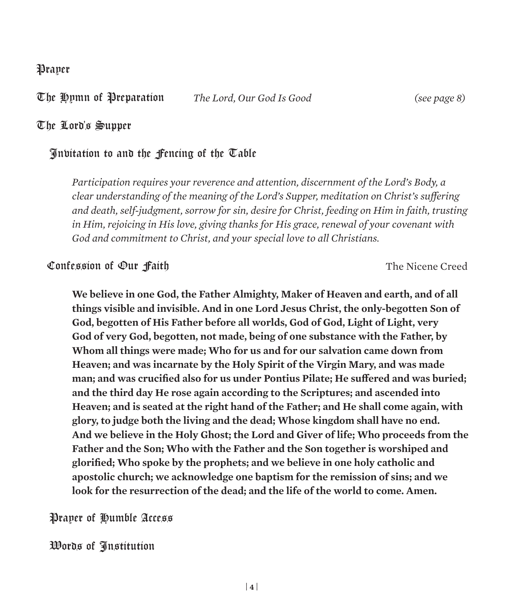Prayer

The Hymn of Preparation *The Lord, Our God Is Good (see page 8)*

# The Lord's Supper

# Invitation to and the Fencing of the Table

*Participation requires your reverence and attention, discernment of the Lord's Body, a clear understanding of the meaning of the Lord's Supper, meditation on Christ's suffering and death, self-judgment, sorrow for sin, desire for Christ, feeding on Him in faith, trusting in Him, rejoicing in His love, giving thanks for His grace, renewal of your covenant with God and commitment to Christ, and your special love to all Christians.*

# Confession of Our Faith The Nicene Creed

**We believe in one God, the Father Almighty, Maker of Heaven and earth, and of all things visible and invisible. And in one Lord Jesus Christ, the only-begotten Son of God, begotten of His Father before all worlds, God of God, Light of Light, very God of very God, begotten, not made, being of one substance with the Father, by Whom all things were made; Who for us and for our salvation came down from Heaven; and was incarnate by the Holy Spirit of the Virgin Mary, and was made man; and was crucified also for us under Pontius Pilate; He suffered and was buried; and the third day He rose again according to the Scriptures; and ascended into Heaven; and is seated at the right hand of the Father; and He shall come again, with glory, to judge both the living and the dead; Whose kingdom shall have no end. And we believe in the Holy Ghost; the Lord and Giver of life; Who proceeds from the Father and the Son; Who with the Father and the Son together is worshiped and glorified; Who spoke by the prophets; and we believe in one holy catholic and apostolic church; we acknowledge one baptism for the remission of sins; and we look for the resurrection of the dead; and the life of the world to come. Amen.**

Prayer of Humble Access

Words of Institution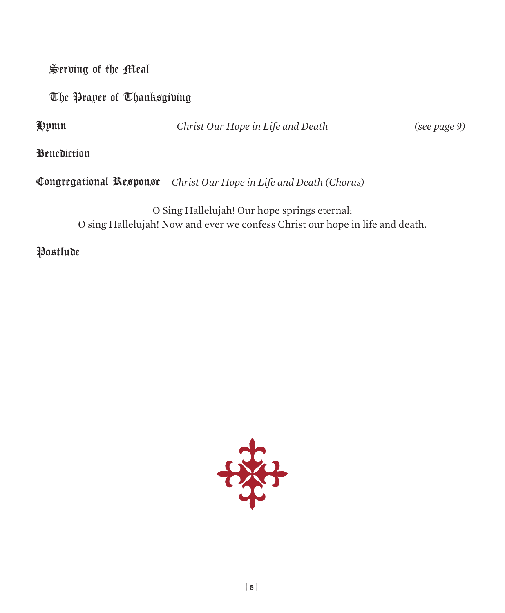Serving of the Meal

The Prayer of Thanksgiving

Hymn *Christ Our Hope in Life and Death (see page 9)*

Benediction

Congregational Response *Christ Our Hope in Life and Death (Chorus)*

O Sing Hallelujah! Our hope springs eternal; O sing Hallelujah! Now and ever we confess Christ our hope in life and death.

Postlude

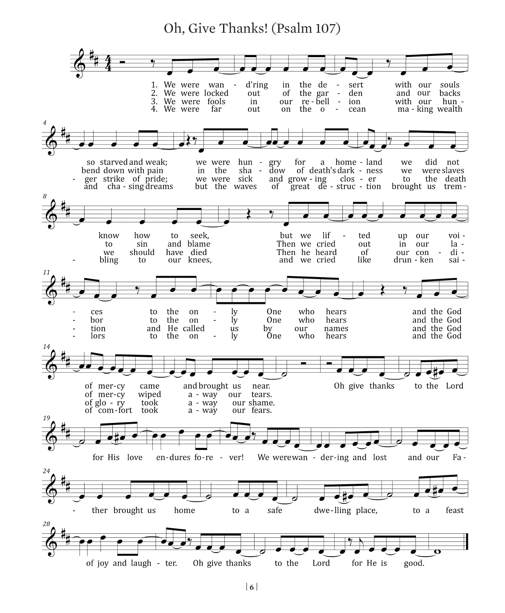# Oh, Give Thanks! (Psalm 107)

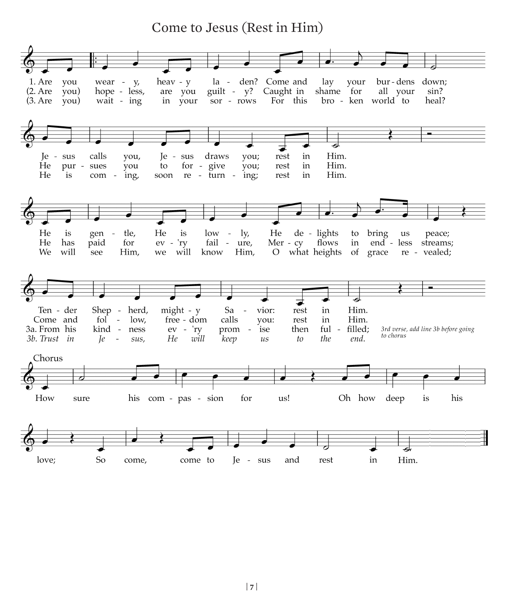Come to Jesus (Rest in Him)

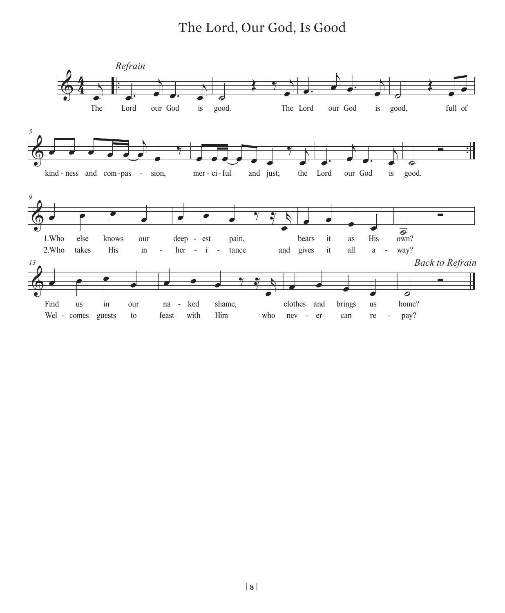The Lord, Our God, Is Good

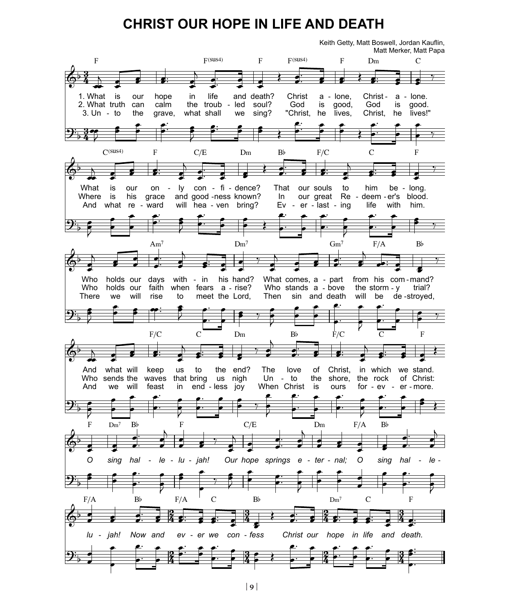# **CHRIST OUR HOPE IN LIFE AND DEATH**

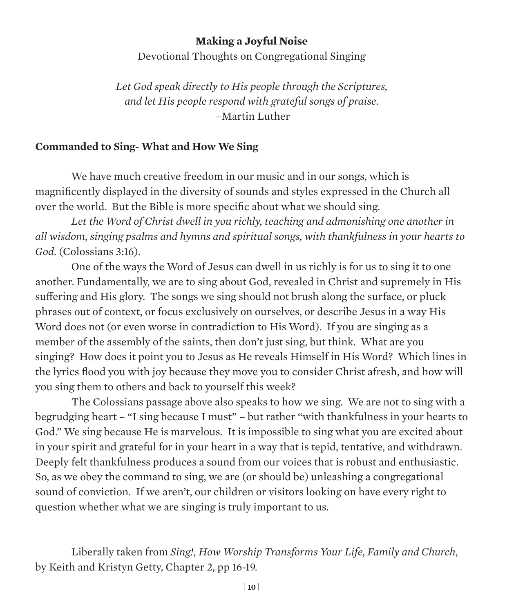### **Making a Joyful Noise**

Devotional Thoughts on Congregational Singing

*Let God speak directly to His people through the Scriptures, and let His people respond with grateful songs of praise.* –Martin Luther

### **Commanded to Sing- What and How We Sing**

We have much creative freedom in our music and in our songs, which is magnificently displayed in the diversity of sounds and styles expressed in the Church all over the world. But the Bible is more specific about what we should sing.

*Let the Word of Christ dwell in you richly, teaching and admonishing one another in all wisdom, singing psalms and hymns and spiritual songs, with thankfulness in your hearts to God.* (Colossians 3:16).

One of the ways the Word of Jesus can dwell in us richly is for us to sing it to one another. Fundamentally, we are to sing about God, revealed in Christ and supremely in His suffering and His glory. The songs we sing should not brush along the surface, or pluck phrases out of context, or focus exclusively on ourselves, or describe Jesus in a way His Word does not (or even worse in contradiction to His Word). If you are singing as a member of the assembly of the saints, then don't just sing, but think. What are you singing? How does it point you to Jesus as He reveals Himself in His Word? Which lines in the lyrics flood you with joy because they move you to consider Christ afresh, and how will you sing them to others and back to yourself this week?

The Colossians passage above also speaks to how we sing. We are not to sing with a begrudging heart – "I sing because I must" – but rather "with thankfulness in your hearts to God." We sing because He is marvelous. It is impossible to sing what you are excited about in your spirit and grateful for in your heart in a way that is tepid, tentative, and withdrawn. Deeply felt thankfulness produces a sound from our voices that is robust and enthusiastic. So, as we obey the command to sing, we are (or should be) unleashing a congregational sound of conviction. If we aren't, our children or visitors looking on have every right to question whether what we are singing is truly important to us.

Liberally taken from *Sing!, How Worship Transforms Your Life, Family and Church*, by Keith and Kristyn Getty, Chapter 2, pp 16-19.